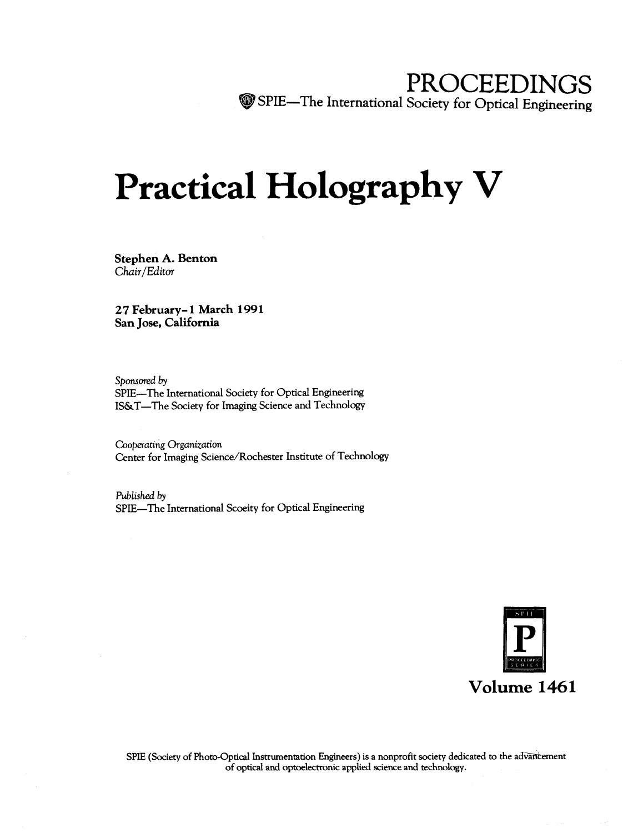## PROCEEDINGS ^pSPIE—The International Society for Optical Engineering

# Practical Holography V

Stephen A. Benton Chair/Editor

27 February-1 March 1991 San Jose, California

Sponsored by SPIE—The International Society for Optical Engineering IS&T—The Society for Imaging Science and Technology

Cooperating Organization Center for Imaging Science/Rochester Institute of Technology

Published by SPIE—The International Scoeity for Optical Engineering

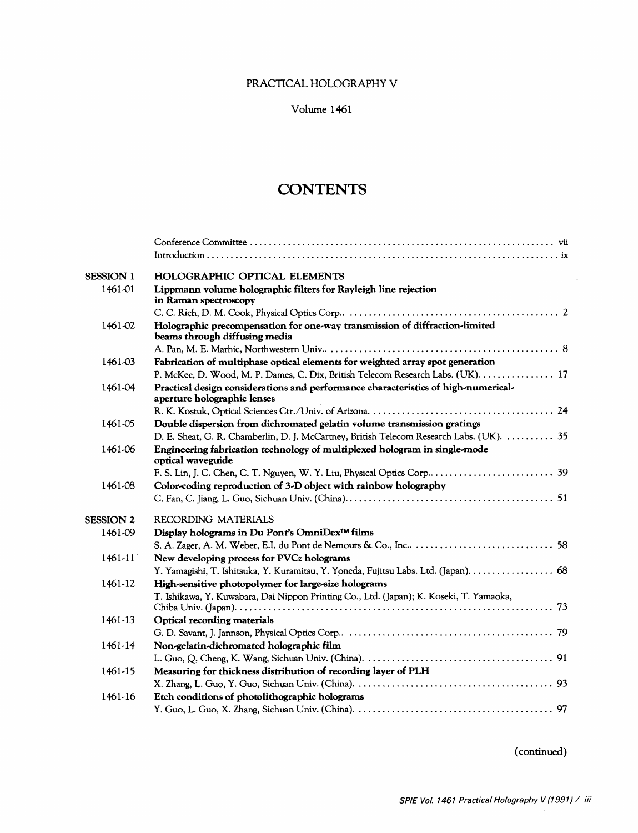## PRACTICAL HOLOGRAPHY V

## Volume 1461

## **CONTENTS**

| <b>SESSION 1</b> | <b>HOLOGRAPHIC OPTICAL ELEMENTS</b>                                                                               |
|------------------|-------------------------------------------------------------------------------------------------------------------|
| 1461-01          | Lippmann volume holographic filters for Rayleigh line rejection<br>in Raman spectroscopy                          |
|                  |                                                                                                                   |
| 1461-02          | Holographic precompensation for one-way transmission of diffraction-limited<br>beams through diffusing media      |
|                  |                                                                                                                   |
| 1461-03          | Fabrication of multiphase optical elements for weighted array spot generation                                     |
|                  | P. McKee, D. Wood, M. P. Dames, C. Dix, British Telecom Research Labs. (UK).  17                                  |
| 1461-04          | Practical design considerations and performance characteristics of high-numerical-<br>aperture holographic lenses |
|                  |                                                                                                                   |
| 1461-05          | Double dispersion from dichromated gelatin volume transmission gratings                                           |
|                  | D. E. Sheat, G. R. Chamberlin, D. J. McCartney, British Telecom Research Labs. (UK).  35                          |
| 1461-06          | Engineering fabrication technology of multiplexed hologram in single-mode<br>optical waveguide                    |
|                  |                                                                                                                   |
| 1461-08          | Color-coding reproduction of 3-D object with rainbow holography                                                   |
|                  |                                                                                                                   |
| <b>SESSION 2</b> | RECORDING MATERIALS                                                                                               |
| 1461-09          | Display holograms in Du Pont's OmniDex <sup>™</sup> films                                                         |
|                  |                                                                                                                   |
| 1461-11          | New developing process for PVCz holograms                                                                         |
|                  | Y. Yamagishi, T. Ishitsuka, Y. Kuramitsu, Y. Yoneda, Fujitsu Labs. Ltd. (Japan). 68                               |
| 1461-12          | High-sensitive photopolymer for large-size holograms                                                              |
|                  | T. Ishikawa, Y. Kuwabara, Dai Nippon Printing Co., Ltd. (Japan); K. Koseki, T. Yamaoka,                           |
| 1461-13          | Optical recording materials                                                                                       |
|                  |                                                                                                                   |
| 1461-14          | Non-gelatin-dichromated holographic film                                                                          |
|                  |                                                                                                                   |
| 1461-15          | Measuring for thickness distribution of recording layer of PLH                                                    |
|                  |                                                                                                                   |
| 1461-16          | Etch conditions of photolithographic holograms                                                                    |
|                  |                                                                                                                   |

(continued)

 $\bar{\bar{z}}$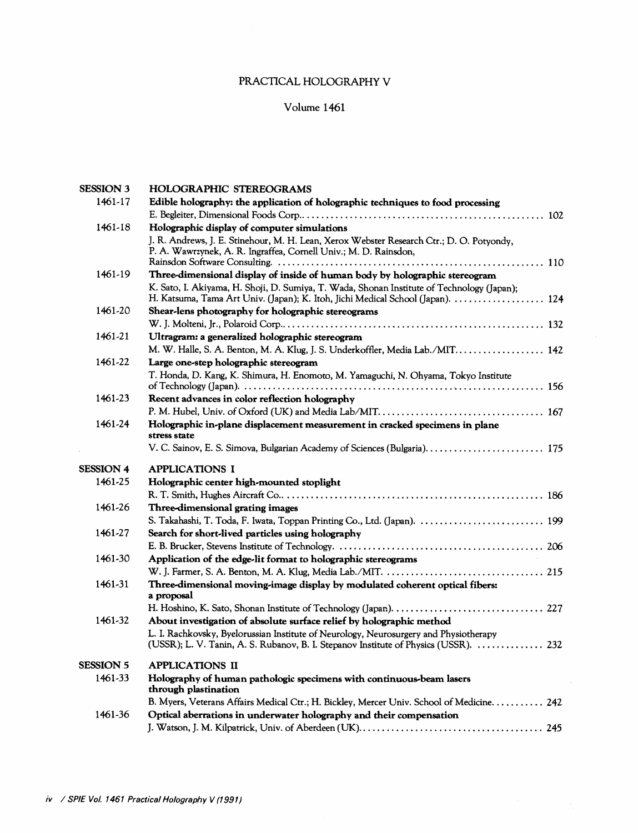## PRACTICAL HOLOGRAPHY V

### Volume 1461

| <b>SESSION 3</b> | <b>HOLOGRAPHIC STEREOGRAMS</b>                                                                                                                                                |  |
|------------------|-------------------------------------------------------------------------------------------------------------------------------------------------------------------------------|--|
| 1461-17          | Edible holography: the application of holographic techniques to food processing                                                                                               |  |
|                  |                                                                                                                                                                               |  |
| 1461-18          | Holographic display of computer simulations                                                                                                                                   |  |
|                  | J. R. Andrews, J. E. Stinehour, M. H. Lean, Xerox Webster Research Ctr.; D. O. Potyondy,<br>P. A. Wawrzynek, A. R. Ingraffea, Cornell Univ.; M. D. Rainsdon,                  |  |
| 1461-19          | Three-dimensional display of inside of human body by holographic stereogram                                                                                                   |  |
|                  | K. Sato, I. Akiyama, H. Shoji, D. Sumiya, T. Wada, Shonan Institute of Technology (Japan);<br>H. Katsuma, Tama Art Univ. (Japan); K. Itoh, Jichi Medical School (Japan).  124 |  |
| 1461-20          | Shear-lens photography for holographic stereograms                                                                                                                            |  |
|                  |                                                                                                                                                                               |  |
| 1461-21          | Ultragram: a generalized holographic stereogram                                                                                                                               |  |
|                  | M. W. Halle, S. A. Benton, M. A. Klug, J. S. Underkoffler, Media Lab./MIT 142                                                                                                 |  |
| 1461-22          | Large one-step holographic stereogram                                                                                                                                         |  |
|                  | T. Honda, D. Kang, K. Shimura, H. Enomoto, M. Yamaguchi, N. Ohyama, Tokyo Institute                                                                                           |  |
|                  |                                                                                                                                                                               |  |
| 1461-23          | Recent advances in color reflection holography                                                                                                                                |  |
|                  |                                                                                                                                                                               |  |
| 1461-24          | Holographic in-plane displacement measurement in cracked specimens in plane<br>stress state                                                                                   |  |
|                  |                                                                                                                                                                               |  |
| <b>SESSION 4</b> | <b>APPLICATIONS I</b>                                                                                                                                                         |  |
| 1461-25          | Holographic center high-mounted stoplight                                                                                                                                     |  |
|                  |                                                                                                                                                                               |  |
| 1461-26          | Three-dimensional grating images                                                                                                                                              |  |
|                  |                                                                                                                                                                               |  |
| 1461-27          |                                                                                                                                                                               |  |
|                  |                                                                                                                                                                               |  |
|                  | Search for short-lived particles using holography                                                                                                                             |  |
| 1461-30          |                                                                                                                                                                               |  |
|                  | Application of the edge-lit format to holographic stereograms                                                                                                                 |  |
| 1461-31          | Three-dimensional moving-image display by modulated coherent optical fibers:<br>a proposal                                                                                    |  |
|                  |                                                                                                                                                                               |  |
| 1461-32          | About investigation of absolute surface relief by holographic method                                                                                                          |  |
|                  | L. I. Rachkovsky, Byelorussian Institute of Neurology, Neurosurgery and Physiotherapy<br>(USSR); L. V. Tanin, A. S. Rubanov, B. I. Stepanov Institute of Physics (USSR).  232 |  |
| <b>SESSION 5</b> | <b>APPLICATIONS II</b>                                                                                                                                                        |  |
| 1461-33          |                                                                                                                                                                               |  |
|                  | Holography of human pathologic specimens with continuous-beam lasers<br>through plastination                                                                                  |  |
|                  | B. Myers, Veterans Affairs Medical Ctr.; H. Bickley, Mercer Univ. School of Medicine. 242                                                                                     |  |
| 1461-36          | Optical aberrations in underwater holography and their compensation                                                                                                           |  |

 $\mathcal{A}^{\mathcal{A}}$